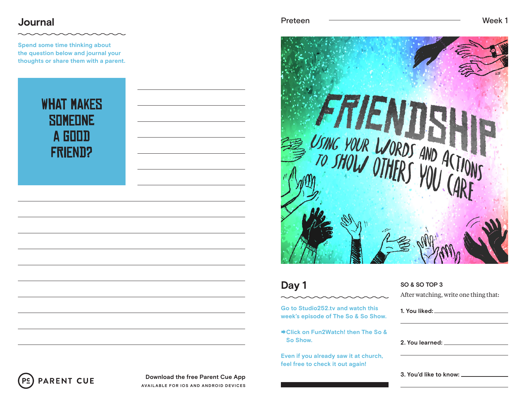### **Journal**

**Spend some time thinking about the question below and journal your thoughts or share them with a parent.**

| <b>WHAT MAKES</b> |
|-------------------|
| SOMEDNE           |
| A GOOD            |
| <b>FRIEND?</b>    |



## **Day 1**

**Go to Studio252.tv and watch this week's episode of The So & So Show.**

**Click on Fun2Watch! then The So & So Show.**

**Even if you already saw it at church, feel free to check it out again!**

### **SO & SO TOP 3** After watching, write one thing that:

| 2. You learned: The contract of the contract of the contract of the contract of the contract of the contract o |  |  |
|----------------------------------------------------------------------------------------------------------------|--|--|



**Download the free Parent Cue App AVAILABLE FOR IOS AND ANDROID DEVICES**